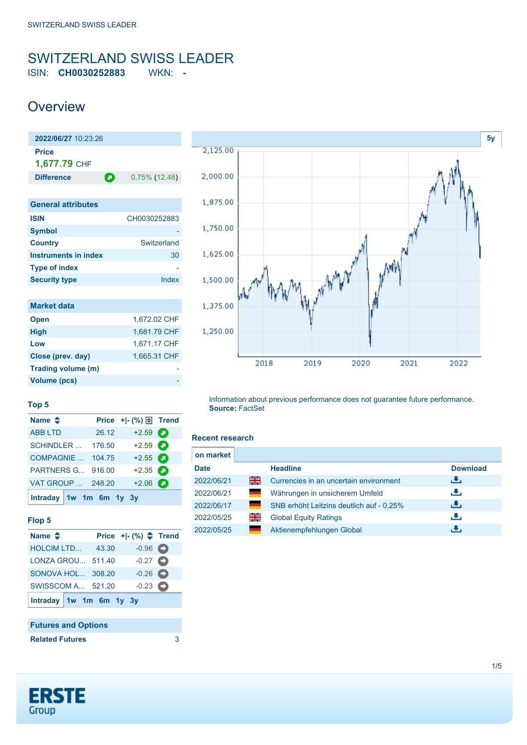### <span id="page-0-0"></span>SWITZERLAND SWISS LEADER ISIN: **CH0030252883** WKN: **-**

## **Overview**

| 2022/06/27 10:23:26         |                       |
|-----------------------------|-----------------------|
| Price<br>1,677.79 CHF       |                       |
| <b>Difference</b>           | О<br>$0.75\%$ (12.48) |
|                             |                       |
| <b>General attributes</b>   |                       |
| <b>ISIN</b>                 | CH0030252883          |
| Symbol                      |                       |
| <b>Country</b>              | Switzerland           |
| <b>Instruments in index</b> | 30                    |
| <b>Type of index</b>        |                       |
| <b>Security type</b>        | Index                 |
|                             |                       |
| <b>Market data</b>          |                       |

| iviarket oata      |              |
|--------------------|--------------|
| <b>Open</b>        | 1,672.02 CHF |
| <b>High</b>        | 1,681.79 CHF |
| Low                | 1,671.17 CHF |
| Close (prev. day)  | 1,665.31 CHF |
| Trading volume (m) |              |
| Volume (pcs)       |              |



#### **Top 5**

| Name $\triangleq$       |        | Price + - (%) $\boxed{\oplus}$ Trend |   |
|-------------------------|--------|--------------------------------------|---|
| <b>ABB LTD</b>          | 26.12  | $+2.59$                              | О |
| <b>SCHINDLER</b>        | 176.50 | $+2.59$                              | Ω |
| COMPAGNIE               | 104.75 | $+2.55$ $\bullet$                    |   |
| <b>PARTNERS G</b>       | 916.00 | $+2.35$                              | О |
| VAT GROUP  248.20       |        | $+2.06$                              | о |
| Intraday 1w 1m 6m 1y 3y |        |                                      |   |

#### **Flop 5**

| Name $\triangle$         |       | Price $+$ $ (%)$ $\triangle$ Trend |  |
|--------------------------|-------|------------------------------------|--|
| <b>HOLCIM LTD</b>        | 43.30 | $-0.96$ $\bullet$                  |  |
| LONZA GROU 511.40        |       | $-0.27$ $\bullet$                  |  |
| SONOVA HOL 308.20        |       | $-0.26$ $\bullet$                  |  |
| <b>SWISSCOM A 521.20</b> |       | $-0.23$ $\bullet$                  |  |
| Intraday 1w 1m 6m 1y 3y  |       |                                    |  |

#### **Futures and Options**

**Related Futures** [3](https://de.products.erstegroup.com/CorporateClients/en/Dispatcher/SearchDispatcher/Market/future/index.phtml?ID_INSTRUMENT_CLASS_FUTURE=17577448)

Information about previous performance does not guarantee future performance. **Source:** FactSet

#### **Recent research**

| on market   |              |                                          |                 |
|-------------|--------------|------------------------------------------|-----------------|
| <b>Date</b> |              | <b>Headline</b>                          | <b>Download</b> |
| 2022/06/21  | 꾉            | Currencies in an uncertain environment   | رائی            |
| 2022/06/21  | <b>START</b> | Währungen in unsicherem Umfeld           | راق             |
| 2022/06/17  | a a          | SNB erhöht Leitzins deutlich auf - 0.25% | رائی            |
| 2022/05/25  | 읡            | <b>Global Equity Ratings</b>             | راق             |
| 2022/05/25  |              | Aktienempfehlungen Global                | ٠₩.             |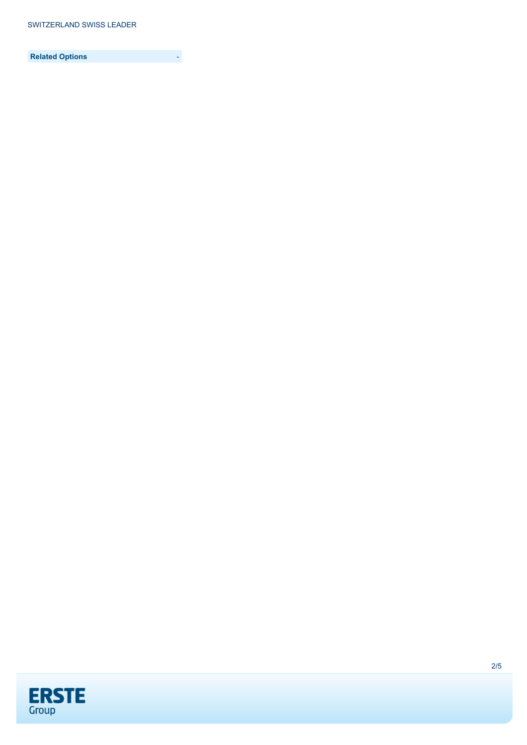**Related Options** -

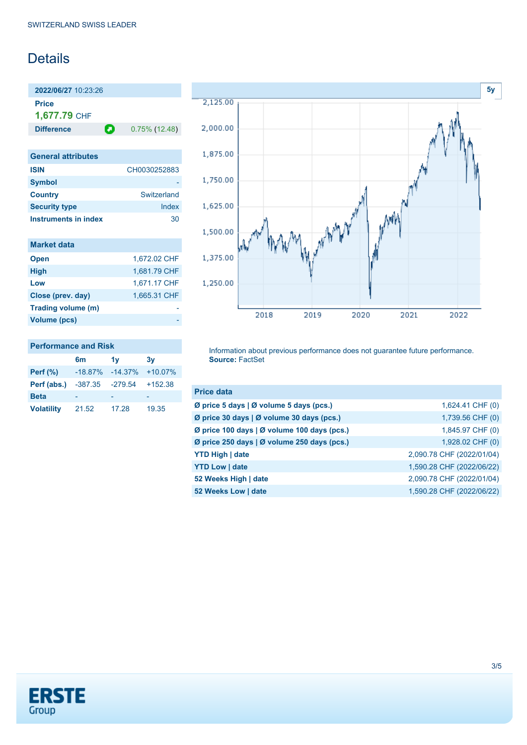## **Details**

**2022/06/27** 10:23:26 **Price 1,677.79** CHF

**Difference 0.75% (12.48)** 

| <b>General attributes</b> |              |
|---------------------------|--------------|
| <b>ISIN</b>               | CH0030252883 |
| <b>Symbol</b>             |              |
| <b>Country</b>            | Switzerland  |
| <b>Security type</b>      | Index        |
| Instruments in index      | 30           |

| <b>Market data</b> |              |
|--------------------|--------------|
| <b>Open</b>        | 1.672.02 CHF |
| <b>High</b>        | 1,681.79 CHF |
| Low                | 1,671.17 CHF |
| Close (prev. day)  | 1,665.31 CHF |
| Trading volume (m) |              |
| Volume (pcs)       |              |



#### **Performance and Risk**

|                   | 6m         | 1v         | 3v        |
|-------------------|------------|------------|-----------|
| Perf $(\%)$       | $-18.87\%$ | $-14.37\%$ | $+10.07%$ |
| Perf (abs.)       | -387.35    | $-279.54$  | $+152.38$ |
| <b>Beta</b>       |            |            |           |
| <b>Volatility</b> | 21.52      | 17.28      | 19.35     |

Information about previous performance does not guarantee future performance. **Source:** FactSet

| <b>Price data</b>                           |                           |
|---------------------------------------------|---------------------------|
| Ø price 5 days   Ø volume 5 days (pcs.)     | 1,624.41 CHF (0)          |
| Ø price 30 days   Ø volume 30 days (pcs.)   | 1,739.56 CHF (0)          |
| Ø price 100 days   Ø volume 100 days (pcs.) | 1,845.97 CHF (0)          |
| Ø price 250 days   Ø volume 250 days (pcs.) | 1,928.02 CHF (0)          |
| <b>YTD High   date</b>                      | 2,090.78 CHF (2022/01/04) |
| <b>YTD Low   date</b>                       | 1,590.28 CHF (2022/06/22) |
| 52 Weeks High   date                        | 2,090.78 CHF (2022/01/04) |
| 52 Weeks Low   date                         | 1,590.28 CHF (2022/06/22) |

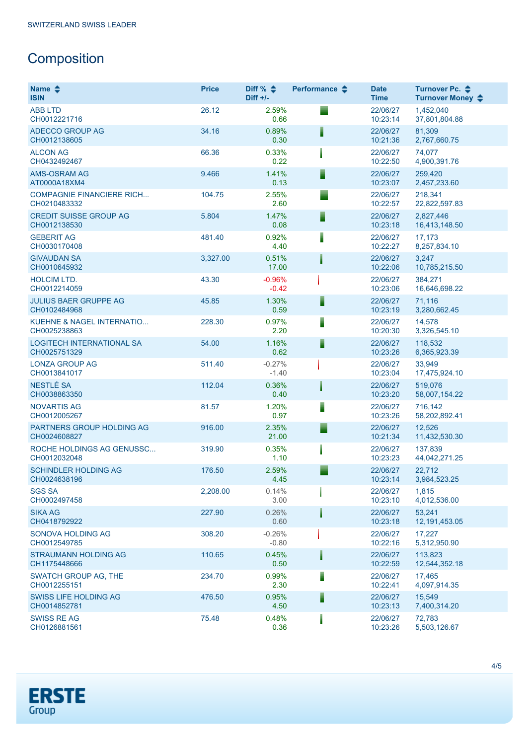# **Composition**

| Name $\triangle$<br><b>ISIN</b>                      | <b>Price</b> | Diff % $\triangleq$<br>$Diff +/-$ | Performance $\clubsuit$ | <b>Date</b><br><b>Time</b> | Turnover Pc. ♦<br>Turnover Money ♦ |
|------------------------------------------------------|--------------|-----------------------------------|-------------------------|----------------------------|------------------------------------|
| <b>ABB LTD</b><br>CH0012221716                       | 26.12        | 2.59%<br>0.66                     |                         | 22/06/27<br>10:23:14       | 1,452,040<br>37,801,804.88         |
| ADECCO GROUP AG<br>CH0012138605                      | 34.16        | 0.89%<br>0.30                     |                         | 22/06/27<br>10:21:36       | 81,309<br>2,767,660.75             |
| <b>ALCON AG</b><br>CH0432492467                      | 66.36        | 0.33%<br>0.22                     |                         | 22/06/27<br>10:22:50       | 74,077<br>4,900,391.76             |
| <b>AMS-OSRAM AG</b><br>AT0000A18XM4                  | 9.466        | 1.41%<br>0.13                     |                         | 22/06/27<br>10:23:07       | 259,420<br>2,457,233.60            |
| <b>COMPAGNIE FINANCIERE RICH</b><br>CH0210483332     | 104.75       | 2.55%<br>2.60                     |                         | 22/06/27<br>10:22:57       | 218.341<br>22,822,597.83           |
| <b>CREDIT SUISSE GROUP AG</b><br>CH0012138530        | 5.804        | 1.47%<br>0.08                     |                         | 22/06/27<br>10:23:18       | 2,827,446<br>16,413,148.50         |
| <b>GEBERIT AG</b><br>CH0030170408                    | 481.40       | 0.92%<br>4.40                     |                         | 22/06/27<br>10:22:27       | 17,173<br>8,257,834.10             |
| <b>GIVAUDAN SA</b><br>CH0010645932                   | 3,327.00     | 0.51%<br>17.00                    |                         | 22/06/27<br>10:22:06       | 3,247<br>10,785,215.50             |
| <b>HOLCIM LTD.</b><br>CH0012214059                   | 43.30        | $-0.96%$<br>$-0.42$               |                         | 22/06/27<br>10:23:06       | 384,271<br>16,646,698.22           |
| <b>JULIUS BAER GRUPPE AG</b><br>CH0102484968         | 45.85        | 1.30%<br>0.59                     |                         | 22/06/27<br>10:23:19       | 71,116<br>3,280,662.45             |
| <b>KUEHNE &amp; NAGEL INTERNATIO</b><br>CH0025238863 | 228.30       | 0.97%<br>2.20                     |                         | 22/06/27<br>10:20:30       | 14,578<br>3,326,545.10             |
| <b>LOGITECH INTERNATIONAL SA</b><br>CH0025751329     | 54.00        | 1.16%<br>0.62                     |                         | 22/06/27<br>10:23:26       | 118,532<br>6,365,923.39            |
| <b>LONZA GROUP AG</b><br>CH0013841017                | 511.40       | $-0.27%$<br>$-1.40$               |                         | 22/06/27<br>10:23:04       | 33,949<br>17,475,924.10            |
| NESTLÉ SA<br>CH0038863350                            | 112.04       | 0.36%<br>0.40                     |                         | 22/06/27<br>10:23:20       | 519,076<br>58,007,154.22           |
| <b>NOVARTIS AG</b><br>CH0012005267                   | 81.57        | 1.20%<br>0.97                     |                         | 22/06/27<br>10:23:26       | 716,142<br>58,202,892.41           |
| PARTNERS GROUP HOLDING AG<br>CH0024608827            | 916.00       | 2.35%<br>21.00                    |                         | 22/06/27<br>10:21:34       | 12,526<br>11,432,530.30            |
| ROCHE HOLDINGS AG GENUSSC<br>CH0012032048            | 319.90       | 0.35%<br>1.10                     |                         | 22/06/27<br>10:23:23       | 137,839<br>44,042,271.25           |
| <b>SCHINDLER HOLDING AG</b><br>CH0024638196          | 176.50       | 2.59%<br>4.45                     |                         | 22/06/27<br>10:23:14       | 22,712<br>3,984,523.25             |
| <b>SGS SA</b><br>CH0002497458                        | 2,208.00     | 0.14%<br>3.00                     |                         | 22/06/27<br>10:23:10       | 1,815<br>4,012,536.00              |
| <b>SIKA AG</b><br>CH0418792922                       | 227.90       | 0.26%<br>0.60                     |                         | 22/06/27<br>10:23:18       | 53,241<br>12,191,453.05            |
| SONOVA HOLDING AG<br>CH0012549785                    | 308.20       | $-0.26%$<br>$-0.80$               |                         | 22/06/27<br>10:22:16       | 17,227<br>5,312,950.90             |
| STRAUMANN HOLDING AG<br>CH1175448666                 | 110.65       | 0.45%<br>0.50                     |                         | 22/06/27<br>10:22:59       | 113,823<br>12,544,352.18           |
| SWATCH GROUP AG, THE<br>CH0012255151                 | 234.70       | 0.99%<br>2.30                     |                         | 22/06/27<br>10:22:41       | 17,465<br>4,097,914.35             |
| <b>SWISS LIFE HOLDING AG</b><br>CH0014852781         | 476.50       | 0.95%<br>4.50                     |                         | 22/06/27<br>10:23:13       | 15,549<br>7,400,314.20             |
| <b>SWISS RE AG</b><br>CH0126881561                   | 75.48        | 0.48%<br>0.36                     |                         | 22/06/27<br>10:23:26       | 72,783<br>5,503,126.67             |